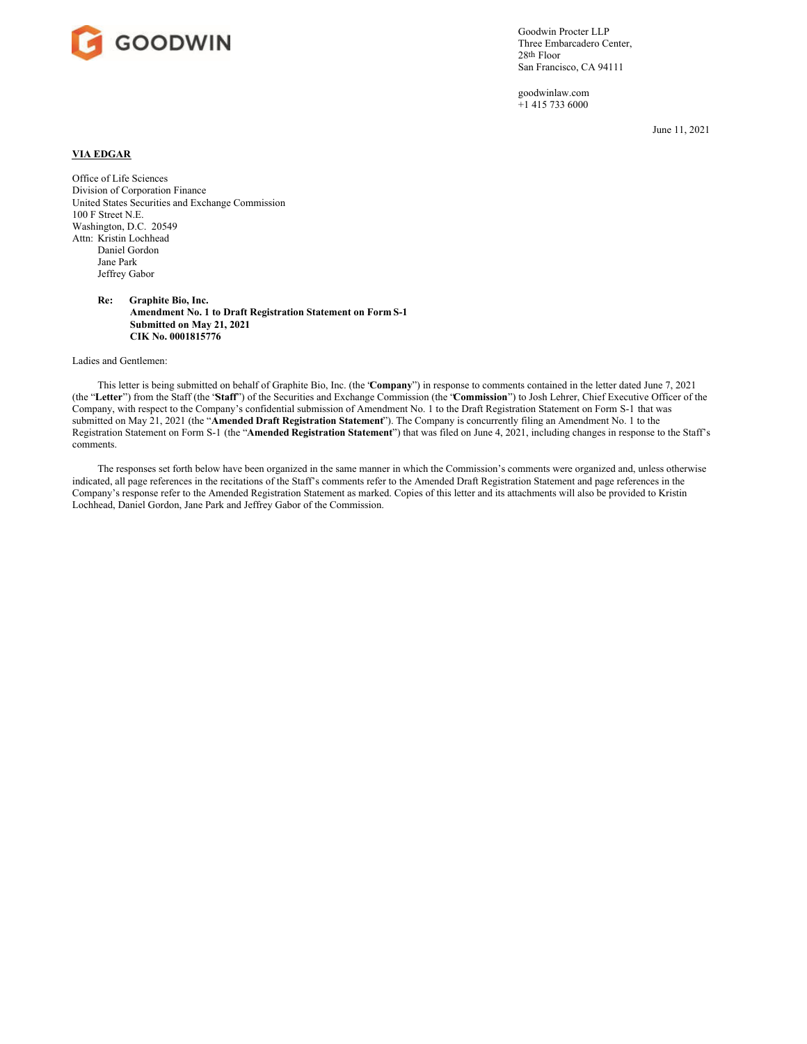

Goodwin Procter LLP Three Embarcadero Center, 28th Floor San Francisco, CA 94111

goodwinlaw.com +1 415 733 6000

June 11, 2021

## **VIA EDGAR**

Office of Life Sciences Division of Corporation Finance United States Securities and Exchange Commission 100 F Street N.E. Washington, D.C. 20549 Attn: Kristin Lochhead Daniel Gordon Jane Park Jeffrey Gabor

> **Re: Graphite Bio, Inc. Amendment No. 1 to Draft Registration Statement on Form S-1 Submitted on May 21, 2021 CIK No. 0001815776**

Ladies and Gentlemen:

This letter is being submitted on behalf of Graphite Bio, Inc. (the "**Company**") in response to comments contained in the letter dated June 7, 2021 (the "**Letter**") from the Staff (the "**Staff**") of the Securities and Exchange Commission (the "**Commission**") to Josh Lehrer, Chief Executive Officer of the Company, with respect to the Company's confidential submission of Amendment No. 1 to the Draft Registration Statement on Form S-1 that was submitted on May 21, 2021 (the "**Amended Draft Registration Statement**"). The Company is concurrently filing an Amendment No. 1 to the Registration Statement on Form S-1 (the "**Amended Registration Statement**") that was filed on June 4, 2021, including changes in response to the Staff's comments.

The responses set forth below have been organized in the same manner in which the Commission's comments were organized and, unless otherwise indicated, all page references in the recitations of the Staff's comments refer to the Amended Draft Registration Statement and page references in the Company's response refer to the Amended Registration Statement as marked. Copies of this letter and its attachments will also be provided to Kristin Lochhead, Daniel Gordon, Jane Park and Jeffrey Gabor of the Commission.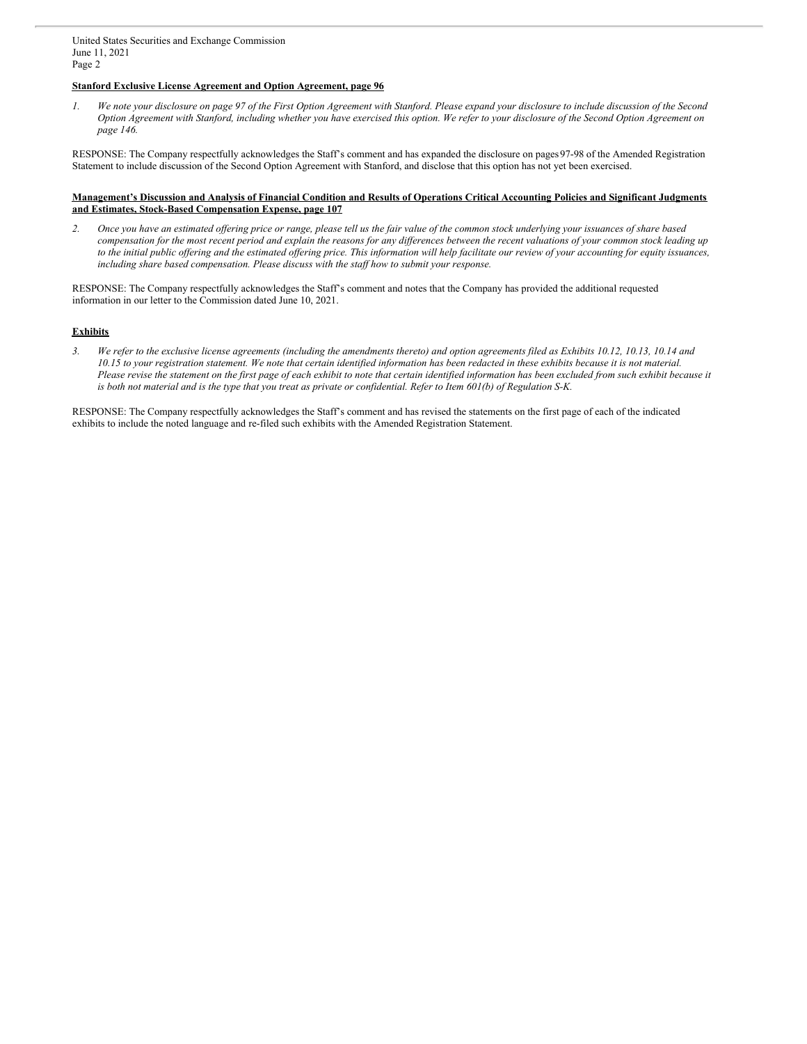## **Stanford Exclusive License Agreement and Option Agreement, page 96**

1. We note your disclosure on page 97 of the First Option Agreement with Stanford. Please expand your disclosure to include discussion of the Second Option Agreement with Stanford, including whether you have exercised this option. We refer to your disclosure of the Second Option Agreement on *page 146.*

RESPONSE: The Company respectfully acknowledges the Staff's comment and has expanded the disclosure on pages97-98 of the Amended Registration Statement to include discussion of the Second Option Agreement with Stanford, and disclose that this option has not yet been exercised.

## Management's Discussion and Analysis of Financial Condition and Results of Operations Critical Accounting Policies and Significant Judgments **and Estimates, Stock-Based Compensation Expense, page 107**

2. Once you have an estimated offering price or range, please tell us the fair value of the common stock underlying your issuances of share based compensation for the most recent period and explain the reasons for any differences between the recent valuations of your common stock leading up to the initial public offering and the estimated offering price. This information will help facilitate our review of your accounting for equity issuances, *including share based compensation. Please discuss with the staf how to submit your response.*

RESPONSE: The Company respectfully acknowledges the Staff's comment and notes that the Company has provided the additional requested information in our letter to the Commission dated June 10, 2021.

## **Exhibits**

3. We refer to the exclusive license agreements (including the amendments thereto) and option agreements filed as Exhibits 10.12, 10.13, 10.14 and 10.15 to your registration statement. We note that certain identified information has been redacted in these exhibits because it is not material. Please revise the statement on the first page of each exhibit to note that certain identified information has been excluded from such exhibit because it is both not material and is the type that you treat as private or confidential. Refer to Item 601(b) of Regulation S-K.

RESPONSE: The Company respectfully acknowledges the Staff's comment and has revised the statements on the first page of each of the indicated exhibits to include the noted language and re-filed such exhibits with the Amended Registration Statement.